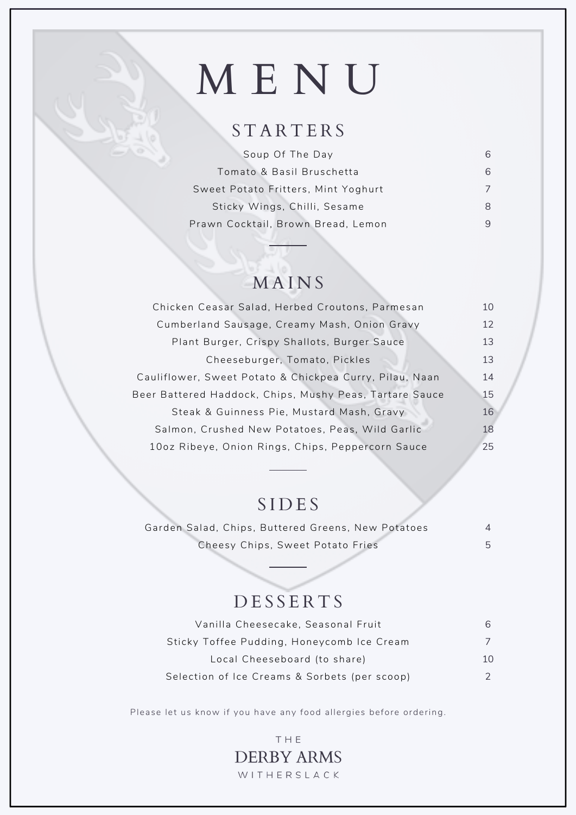# M E N U

#### **STARTERS**

| Soup Of The Day                     | ନ |
|-------------------------------------|---|
| Tomato & Basil Bruschetta           | 6 |
| Sweet Potato Fritters, Mint Yoghurt |   |
| Sticky Wings, Chilli, Sesame        | 8 |
| Prawn Cocktail, Brown Bread, Lemon  |   |

## **MAINS**

| Chicken Ceasar Salad, Herbed Croutons, Parmesan         | 10 |
|---------------------------------------------------------|----|
| Cumberland Sausage, Creamy Mash, Onion Gravy            | 12 |
| Plant Burger, Crispy Shallots, Burger Sauce             | 13 |
| Cheeseburger, Tomato, Pickles                           | 13 |
| Cauliflower, Sweet Potato & Chickpea Curry, Pilau, Naan | 14 |
| Beer Battered Haddock, Chips, Mushy Peas, Tartare Sauce | 15 |
| Steak & Guinness Pie, Mustard Mash, Gravy               | 16 |
| Salmon, Crushed New Potatoes, Peas, Wild Garlic         | 18 |
| 10oz Ribeye, Onion Rings, Chips, Peppercorn Sauce       | 25 |

#### **SIDES**

| Garden Salad, Chips, Buttered Greens, New Potatoes |  |
|----------------------------------------------------|--|
| Cheesy Chips, Sweet Potato Fries                   |  |

#### **DESSERTS**

| Vanilla Cheesecake, Seasonal Fruit            |    |
|-----------------------------------------------|----|
| Sticky Toffee Pudding, Honeycomb Ice Cream    |    |
| Local Cheeseboard (to share)                  | 10 |
| Selection of Ice Creams & Sorbets (per scoop) |    |

Please let us know if you have any food allergies before ordering.

THE **DERBY ARMS** WITHERSLACK